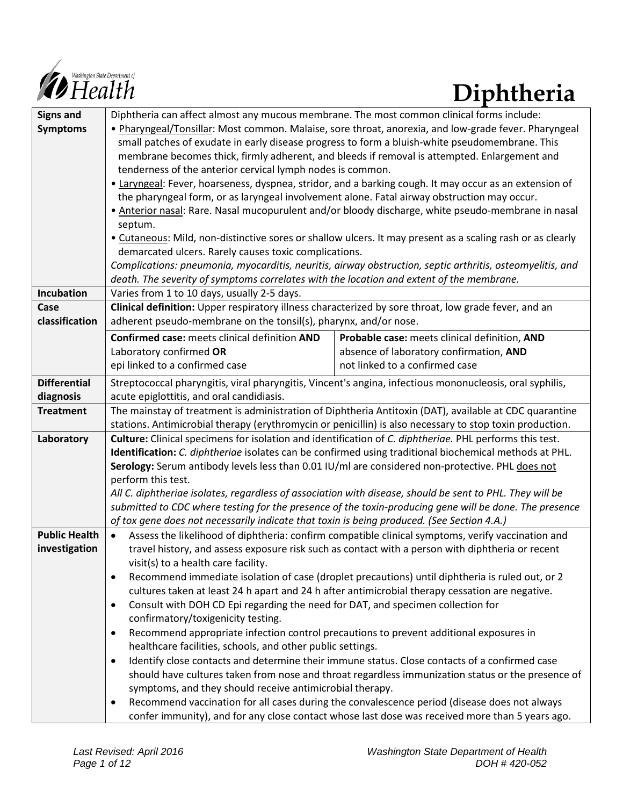

| <b>Signs and</b>     | Diphtheria can affect almost any mucous membrane. The most common clinical forms include:                                                                                                            |                                                                                                        |  |  |  |  |  |
|----------------------|------------------------------------------------------------------------------------------------------------------------------------------------------------------------------------------------------|--------------------------------------------------------------------------------------------------------|--|--|--|--|--|
| <b>Symptoms</b>      | . Pharyngeal/Tonsillar: Most common. Malaise, sore throat, anorexia, and low-grade fever. Pharyngeal                                                                                                 |                                                                                                        |  |  |  |  |  |
|                      | small patches of exudate in early disease progress to form a bluish-white pseudomembrane. This                                                                                                       |                                                                                                        |  |  |  |  |  |
|                      | membrane becomes thick, firmly adherent, and bleeds if removal is attempted. Enlargement and                                                                                                         |                                                                                                        |  |  |  |  |  |
|                      | tenderness of the anterior cervical lymph nodes is common.                                                                                                                                           |                                                                                                        |  |  |  |  |  |
|                      | • Laryngeal: Fever, hoarseness, dyspnea, stridor, and a barking cough. It may occur as an extension of                                                                                               |                                                                                                        |  |  |  |  |  |
|                      | the pharyngeal form, or as laryngeal involvement alone. Fatal airway obstruction may occur.                                                                                                          |                                                                                                        |  |  |  |  |  |
|                      | • Anterior nasal: Rare. Nasal mucopurulent and/or bloody discharge, white pseudo-membrane in nasal                                                                                                   |                                                                                                        |  |  |  |  |  |
|                      | septum.                                                                                                                                                                                              |                                                                                                        |  |  |  |  |  |
|                      | . Cutaneous: Mild, non-distinctive sores or shallow ulcers. It may present as a scaling rash or as clearly                                                                                           |                                                                                                        |  |  |  |  |  |
|                      | demarcated ulcers. Rarely causes toxic complications.                                                                                                                                                |                                                                                                        |  |  |  |  |  |
|                      | Complications: pneumonia, myocarditis, neuritis, airway obstruction, septic arthritis, osteomyelitis, and                                                                                            |                                                                                                        |  |  |  |  |  |
|                      | death. The severity of symptoms correlates with the location and extent of the membrane.                                                                                                             |                                                                                                        |  |  |  |  |  |
| Incubation           | Varies from 1 to 10 days, usually 2-5 days.                                                                                                                                                          |                                                                                                        |  |  |  |  |  |
| Case                 | Clinical definition: Upper respiratory illness characterized by sore throat, low grade fever, and an                                                                                                 |                                                                                                        |  |  |  |  |  |
| classification       |                                                                                                                                                                                                      | adherent pseudo-membrane on the tonsil(s), pharynx, and/or nose.                                       |  |  |  |  |  |
|                      | Confirmed case: meets clinical definition AND                                                                                                                                                        | Probable case: meets clinical definition, AND                                                          |  |  |  |  |  |
|                      | Laboratory confirmed OR                                                                                                                                                                              | absence of laboratory confirmation, AND                                                                |  |  |  |  |  |
|                      | epi linked to a confirmed case                                                                                                                                                                       | not linked to a confirmed case                                                                         |  |  |  |  |  |
| <b>Differential</b>  | Streptococcal pharyngitis, viral pharyngitis, Vincent's angina, infectious mononucleosis, oral syphilis,                                                                                             |                                                                                                        |  |  |  |  |  |
| diagnosis            | acute epiglottitis, and oral candidiasis.                                                                                                                                                            |                                                                                                        |  |  |  |  |  |
| <b>Treatment</b>     |                                                                                                                                                                                                      | The mainstay of treatment is administration of Diphtheria Antitoxin (DAT), available at CDC quarantine |  |  |  |  |  |
|                      | stations. Antimicrobial therapy (erythromycin or penicillin) is also necessary to stop toxin production.                                                                                             |                                                                                                        |  |  |  |  |  |
| Laboratory           | Culture: Clinical specimens for isolation and identification of C. diphtheriae. PHL performs this test.                                                                                              |                                                                                                        |  |  |  |  |  |
|                      | Identification: C. diphtheriae isolates can be confirmed using traditional biochemical methods at PHL.                                                                                               |                                                                                                        |  |  |  |  |  |
|                      | Serology: Serum antibody levels less than 0.01 IU/ml are considered non-protective. PHL does not                                                                                                     |                                                                                                        |  |  |  |  |  |
|                      | perform this test.                                                                                                                                                                                   |                                                                                                        |  |  |  |  |  |
|                      | All C. diphtheriae isolates, regardless of association with disease, should be sent to PHL. They will be                                                                                             |                                                                                                        |  |  |  |  |  |
|                      | submitted to CDC where testing for the presence of the toxin-producing gene will be done. The presence                                                                                               |                                                                                                        |  |  |  |  |  |
|                      | of tox gene does not necessarily indicate that toxin is being produced. (See Section 4.A.)                                                                                                           |                                                                                                        |  |  |  |  |  |
| <b>Public Health</b> | Assess the likelihood of diphtheria: confirm compatible clinical symptoms, verify vaccination and<br>$\bullet$                                                                                       |                                                                                                        |  |  |  |  |  |
| investigation        | travel history, and assess exposure risk such as contact with a person with diphtheria or recent                                                                                                     |                                                                                                        |  |  |  |  |  |
|                      | visit(s) to a health care facility.                                                                                                                                                                  |                                                                                                        |  |  |  |  |  |
|                      | Recommend immediate isolation of case (droplet precautions) until diphtheria is ruled out, or 2<br>٠                                                                                                 |                                                                                                        |  |  |  |  |  |
|                      | cultures taken at least 24 h apart and 24 h after antimicrobial therapy cessation are negative.                                                                                                      |                                                                                                        |  |  |  |  |  |
|                      | Consult with DOH CD Epi regarding the need for DAT, and specimen collection for<br>$\bullet$                                                                                                         |                                                                                                        |  |  |  |  |  |
|                      | confirmatory/toxigenicity testing.                                                                                                                                                                   |                                                                                                        |  |  |  |  |  |
|                      | Recommend appropriate infection control precautions to prevent additional exposures in<br>$\bullet$                                                                                                  |                                                                                                        |  |  |  |  |  |
|                      | healthcare facilities, schools, and other public settings.                                                                                                                                           |                                                                                                        |  |  |  |  |  |
|                      | Identify close contacts and determine their immune status. Close contacts of a confirmed case<br>$\bullet$                                                                                           |                                                                                                        |  |  |  |  |  |
|                      | should have cultures taken from nose and throat regardless immunization status or the presence of                                                                                                    |                                                                                                        |  |  |  |  |  |
|                      | symptoms, and they should receive antimicrobial therapy.                                                                                                                                             |                                                                                                        |  |  |  |  |  |
|                      | Recommend vaccination for all cases during the convalescence period (disease does not always<br>٠<br>confer immunity), and for any close contact whose last dose was received more than 5 years ago. |                                                                                                        |  |  |  |  |  |
|                      |                                                                                                                                                                                                      |                                                                                                        |  |  |  |  |  |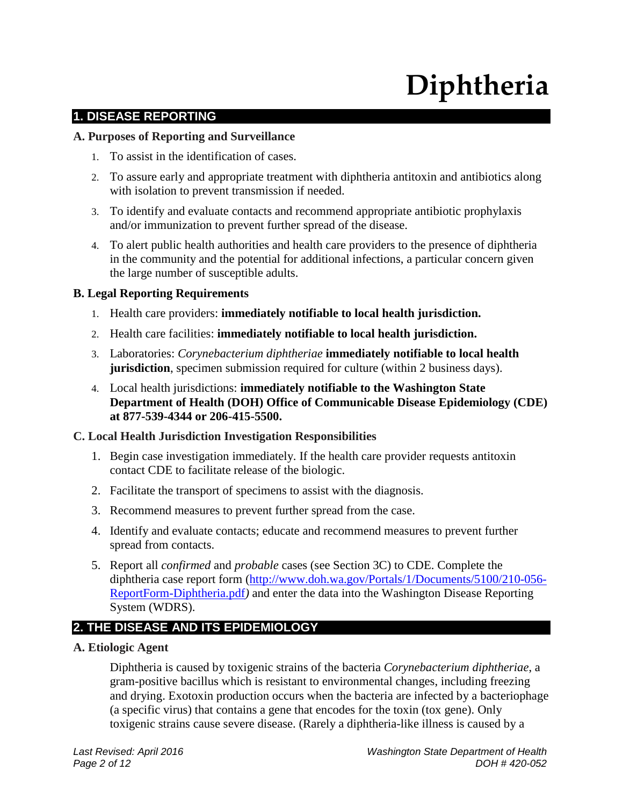# **Diphtheria**

# **1. DISEASE REPORTING**

#### **A. Purposes of Reporting and Surveillance**

- 1. To assist in the identification of cases.
- 2. To assure early and appropriate treatment with diphtheria antitoxin and antibiotics along with isolation to prevent transmission if needed.
- 3. To identify and evaluate contacts and recommend appropriate antibiotic prophylaxis and/or immunization to prevent further spread of the disease.
- 4. To alert public health authorities and health care providers to the presence of diphtheria in the community and the potential for additional infections, a particular concern given the large number of susceptible adults.

#### **B. Legal Reporting Requirements**

- 1. Health care providers: **immediately notifiable to local health jurisdiction.**
- 2. Health care facilities: **immediately notifiable to local health jurisdiction.**
- 3. Laboratories: *Corynebacterium diphtheriae* **immediately notifiable to local health jurisdiction**, specimen submission required for culture (within 2 business days).
- 4. Local health jurisdictions: **immediately notifiable to the Washington State Department of Health (DOH) Office of Communicable Disease Epidemiology (CDE) at 877-539-4344 or 206-415-5500.**

#### **C. Local Health Jurisdiction Investigation Responsibilities**

- 1. Begin case investigation immediately. If the health care provider requests antitoxin contact CDE to facilitate release of the biologic.
- 2. Facilitate the transport of specimens to assist with the diagnosis.
- 3. Recommend measures to prevent further spread from the case.
- 4. Identify and evaluate contacts; educate and recommend measures to prevent further spread from contacts.
- 5. Report all *confirmed* and *probable* cases (see Section 3C) to CDE. Complete the diphtheria case report form [\(http://www.doh.wa.gov/Portals/1/Documents/5100/210-056-](http://www.doh.wa.gov/Portals/1/Documents/5100/210-056-ReportForm-Diphtheria.pdf) [ReportForm-Diphtheria.pdf](http://www.doh.wa.gov/Portals/1/Documents/5100/210-056-ReportForm-Diphtheria.pdf)*)* and enter the data into the Washington Disease Reporting System (WDRS).

### **2. THE DISEASE AND ITS EPIDEMIOLOGY**

**A. Etiologic Agent**

Diphtheria is caused by toxigenic strains of the bacteria *Corynebacterium diphtheriae*, a gram-positive bacillus which is resistant to environmental changes, including freezing and drying. Exotoxin production occurs when the bacteria are infected by a bacteriophage (a specific virus) that contains a gene that encodes for the toxin (tox gene). Only toxigenic strains cause severe disease. (Rarely a diphtheria-like illness is caused by a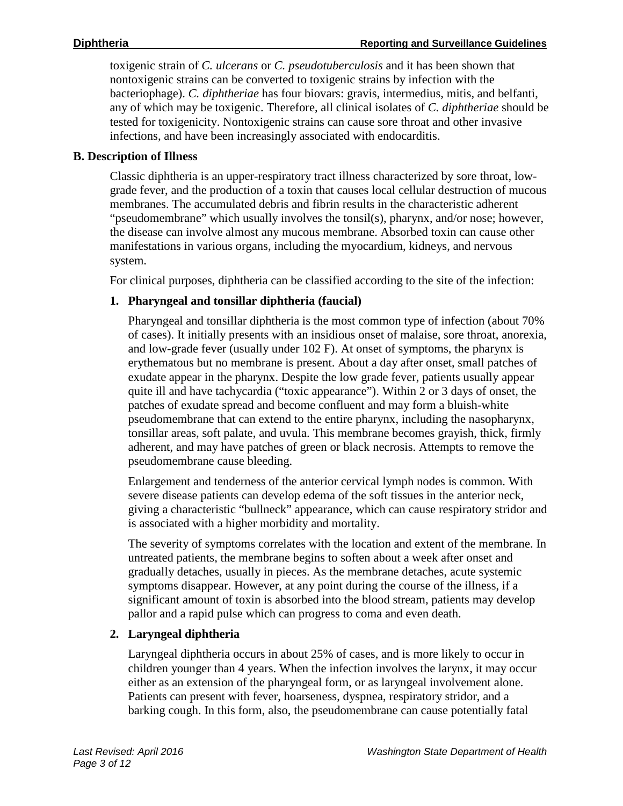toxigenic strain of *C. ulcerans* or *C. pseudotuberculosis* and it has been shown that nontoxigenic strains can be converted to toxigenic strains by infection with the bacteriophage). *C. diphtheriae* has four biovars: gravis, intermedius, mitis, and belfanti, any of which may be toxigenic. Therefore, all clinical isolates of *C. diphtheriae* should be tested for toxigenicity. Nontoxigenic strains can cause sore throat and other invasive infections, and have been increasingly associated with endocarditis.

#### **B. Description of Illness**

Classic diphtheria is an upper-respiratory tract illness characterized by sore throat, lowgrade fever, and the production of a toxin that causes local cellular destruction of mucous membranes. The accumulated debris and fibrin results in the characteristic adherent "pseudomembrane" which usually involves the tonsil(s), pharynx, and/or nose; however, the disease can involve almost any mucous membrane. Absorbed toxin can cause other manifestations in various organs, including the myocardium, kidneys, and nervous system.

For clinical purposes, diphtheria can be classified according to the site of the infection:

### **1. Pharyngeal and tonsillar diphtheria (faucial)**

Pharyngeal and tonsillar diphtheria is the most common type of infection (about 70% of cases). It initially presents with an insidious onset of malaise, sore throat, anorexia, and low-grade fever (usually under 102 F). At onset of symptoms, the pharynx is erythematous but no membrane is present. About a day after onset, small patches of exudate appear in the pharynx. Despite the low grade fever, patients usually appear quite ill and have tachycardia ("toxic appearance"). Within 2 or 3 days of onset, the patches of exudate spread and become confluent and may form a bluish-white pseudomembrane that can extend to the entire pharynx, including the nasopharynx, tonsillar areas, soft palate, and uvula. This membrane becomes grayish, thick, firmly adherent, and may have patches of green or black necrosis. Attempts to remove the pseudomembrane cause bleeding.

Enlargement and tenderness of the anterior cervical lymph nodes is common. With severe disease patients can develop edema of the soft tissues in the anterior neck, giving a characteristic "bullneck" appearance, which can cause respiratory stridor and is associated with a higher morbidity and mortality.

The severity of symptoms correlates with the location and extent of the membrane. In untreated patients, the membrane begins to soften about a week after onset and gradually detaches, usually in pieces. As the membrane detaches, acute systemic symptoms disappear. However, at any point during the course of the illness, if a significant amount of toxin is absorbed into the blood stream, patients may develop pallor and a rapid pulse which can progress to coma and even death.

#### **2. Laryngeal diphtheria**

Laryngeal diphtheria occurs in about 25% of cases, and is more likely to occur in children younger than 4 years. When the infection involves the larynx, it may occur either as an extension of the pharyngeal form, or as laryngeal involvement alone. Patients can present with fever, hoarseness, dyspnea, respiratory stridor, and a barking cough. In this form, also, the pseudomembrane can cause potentially fatal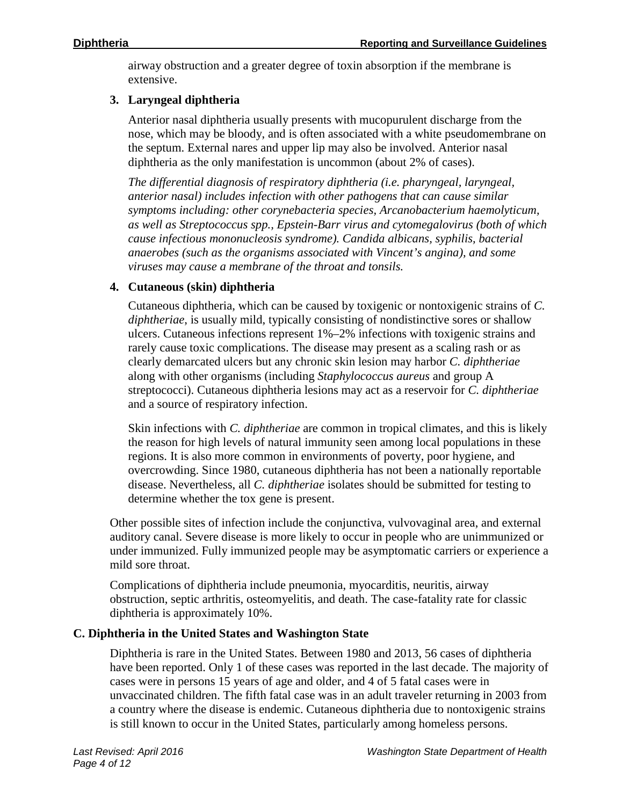airway obstruction and a greater degree of toxin absorption if the membrane is extensive.

#### **3. Laryngeal diphtheria**

Anterior nasal diphtheria usually presents with mucopurulent discharge from the nose, which may be bloody, and is often associated with a white pseudomembrane on the septum. External nares and upper lip may also be involved. Anterior nasal diphtheria as the only manifestation is uncommon (about 2% of cases).

*The differential diagnosis of respiratory diphtheria (i.e. pharyngeal, laryngeal, anterior nasal) includes infection with other pathogens that can cause similar symptoms including: other corynebacteria species, Arcanobacterium haemolyticum, as well as Streptococcus spp., Epstein-Barr virus and cytomegalovirus (both of which cause infectious mononucleosis syndrome). Candida albicans, syphilis, bacterial anaerobes (such as the organisms associated with Vincent's angina), and some viruses may cause a membrane of the throat and tonsils.*

#### **4. Cutaneous (skin) diphtheria**

Cutaneous diphtheria, which can be caused by toxigenic or nontoxigenic strains of *C. diphtheriae*, is usually mild, typically consisting of nondistinctive sores or shallow ulcers. Cutaneous infections represent 1%–2% infections with toxigenic strains and rarely cause toxic complications. The disease may present as a scaling rash or as clearly demarcated ulcers but any chronic skin lesion may harbor *C. diphtheriae* along with other organisms (including *Staphylococcus aureus* and group A streptococci). Cutaneous diphtheria lesions may act as a reservoir for *C. diphtheriae* and a source of respiratory infection.

Skin infections with *C. diphtheriae* are common in tropical climates, and this is likely the reason for high levels of natural immunity seen among local populations in these regions. It is also more common in environments of poverty, poor hygiene, and overcrowding. Since 1980, cutaneous diphtheria has not been a nationally reportable disease. Nevertheless, all *C. diphtheriae* isolates should be submitted for testing to determine whether the tox gene is present.

Other possible sites of infection include the conjunctiva, vulvovaginal area, and external auditory canal. Severe disease is more likely to occur in people who are unimmunized or under immunized. Fully immunized people may be asymptomatic carriers or experience a mild sore throat.

Complications of diphtheria include pneumonia, myocarditis, neuritis, airway obstruction, septic arthritis, osteomyelitis, and death. The case-fatality rate for classic diphtheria is approximately 10%.

### **C. Diphtheria in the United States and Washington State**

Diphtheria is rare in the United States. Between 1980 and 2013, 56 cases of diphtheria have been reported. Only 1 of these cases was reported in the last decade. The majority of cases were in persons 15 years of age and older, and 4 of 5 fatal cases were in unvaccinated children. The fifth fatal case was in an adult traveler returning in 2003 from a country where the disease is endemic. Cutaneous diphtheria due to nontoxigenic strains is still known to occur in the United States, particularly among homeless persons.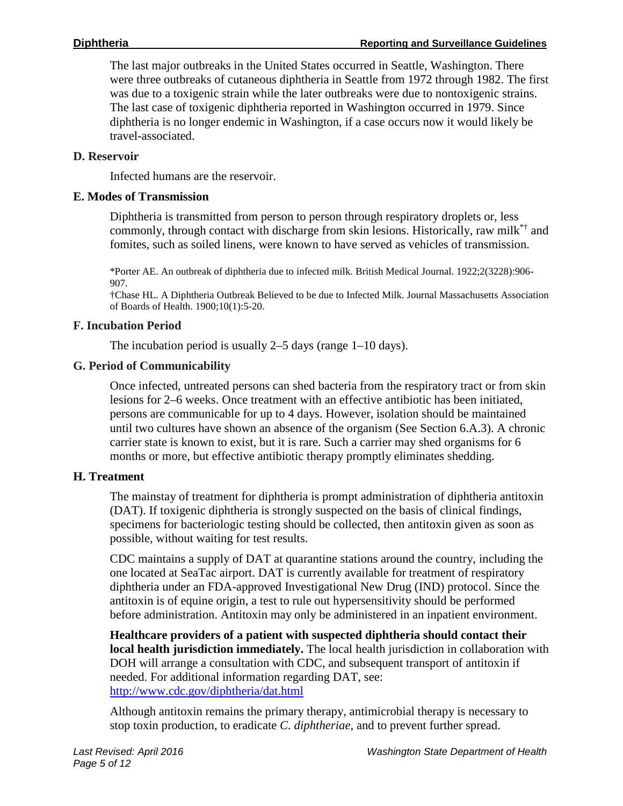The last major outbreaks in the United States occurred in Seattle, Washington. There were three outbreaks of cutaneous diphtheria in Seattle from 1972 through 1982. The first was due to a toxigenic strain while the later outbreaks were due to nontoxigenic strains. The last case of toxigenic diphtheria reported in Washington occurred in 1979. Since diphtheria is no longer endemic in Washington, if a case occurs now it would likely be travel-associated.

#### **D. Reservoir**

Infected humans are the reservoir.

#### **E. Modes of Transmission**

Diphtheria is transmitted from person to person through respiratory droplets or, less commonly, through contact with discharge from skin lesions. Historically, raw milk\*† and fomites, such as soiled linens, were known to have served as vehicles of transmission.

\*Porter AE. An outbreak of diphtheria due to infected milk. British Medical Journal. 1922;2(3228):906- 907.

†Chase HL. A Diphtheria Outbreak Believed to be due to Infected Milk. Journal Massachusetts Association of Boards of Health. 1900;10(1):5-20.

#### **F. Incubation Period**

The incubation period is usually 2–5 days (range 1–10 days).

#### **G. Period of Communicability**

Once infected, untreated persons can shed bacteria from the respiratory tract or from skin lesions for 2–6 weeks. Once treatment with an effective antibiotic has been initiated, persons are communicable for up to 4 days. However, isolation should be maintained until two cultures have shown an absence of the organism (See Section 6.A.3). A chronic carrier state is known to exist, but it is rare. Such a carrier may shed organisms for 6 months or more, but effective antibiotic therapy promptly eliminates shedding.

#### **H. Treatment**

The mainstay of treatment for diphtheria is prompt administration of diphtheria antitoxin (DAT). If toxigenic diphtheria is strongly suspected on the basis of clinical findings, specimens for bacteriologic testing should be collected, then antitoxin given as soon as possible, without waiting for test results.

CDC maintains a supply of DAT at quarantine stations around the country, including the one located at SeaTac airport. DAT is currently available for treatment of respiratory diphtheria under an FDA-approved Investigational New Drug (IND) protocol. Since the antitoxin is of equine origin, a test to rule out hypersensitivity should be performed before administration. Antitoxin may only be administered in an inpatient environment.

**Healthcare providers of a patient with suspected diphtheria should contact their local health jurisdiction immediately.** The local health jurisdiction in collaboration with DOH will arrange a consultation with CDC, and subsequent transport of antitoxin if needed. For additional information regarding DAT, see: <http://www.cdc.gov/diphtheria/dat.html>

Although antitoxin remains the primary therapy, antimicrobial therapy is necessary to stop toxin production, to eradicate *C. diphtheriae,* and to prevent further spread.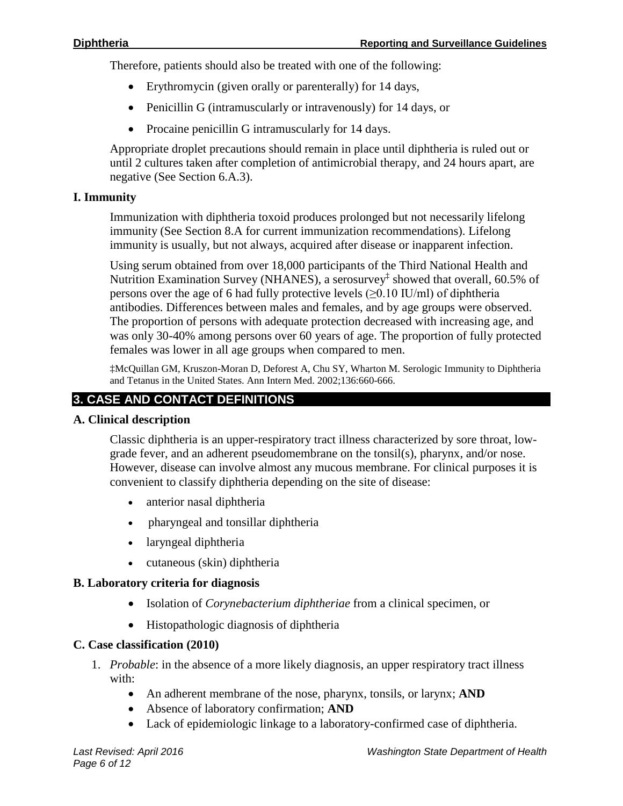Therefore, patients should also be treated with one of the following:

- Erythromycin (given orally or parenterally) for 14 days,
- Penicillin G (intramuscularly or intravenously) for 14 days, or
- Procaine penicillin G intramuscularly for 14 days.

Appropriate droplet precautions should remain in place until diphtheria is ruled out or until 2 cultures taken after completion of antimicrobial therapy, and 24 hours apart, are negative (See Section 6.A.3).

#### **I. Immunity**

Immunization with diphtheria toxoid produces prolonged but not necessarily lifelong immunity (See Section 8.A for current immunization recommendations). Lifelong immunity is usually, but not always, acquired after disease or inapparent infection.

Using serum obtained from over 18,000 participants of the Third National Health and Nutrition Examination Survey (NHANES), a serosurvey<sup>‡</sup> showed that overall, 60.5% of persons over the age of 6 had fully protective levels  $(\geq 0.10 \text{ IU/ml})$  of diphtheria antibodies. Differences between males and females, and by age groups were observed. The proportion of persons with adequate protection decreased with increasing age, and was only 30-40% among persons over 60 years of age. The proportion of fully protected females was lower in all age groups when compared to men.

‡McQuillan GM, Kruszon-Moran D, Deforest A, Chu SY, Wharton M. Serologic Immunity to Diphtheria and Tetanus in the United States. Ann Intern Med. 2002;136:660-666.

## **3. CASE AND CONTACT DEFINITIONS**

#### **A. Clinical description**

Classic diphtheria is an upper-respiratory tract illness characterized by sore throat, lowgrade fever, and an adherent pseudomembrane on the tonsil(s), pharynx, and/or nose. However, disease can involve almost any mucous membrane. For clinical purposes it is convenient to classify diphtheria depending on the site of disease:

- anterior nasal diphtheria
- pharyngeal and tonsillar diphtheria
- laryngeal diphtheria
- cutaneous (skin) diphtheria

#### **B. Laboratory criteria for diagnosis**

- Isolation of *Corynebacterium diphtheriae* from a clinical specimen, or
- Histopathologic diagnosis of diphtheria

#### **C. Case classification (2010)**

- 1. *Probable*: in the absence of a more likely diagnosis, an upper respiratory tract illness with:
	- An adherent membrane of the nose, pharynx, tonsils, or larynx; **AND**
	- Absence of laboratory confirmation; **AND**
	- Lack of epidemiologic linkage to a laboratory-confirmed case of diphtheria.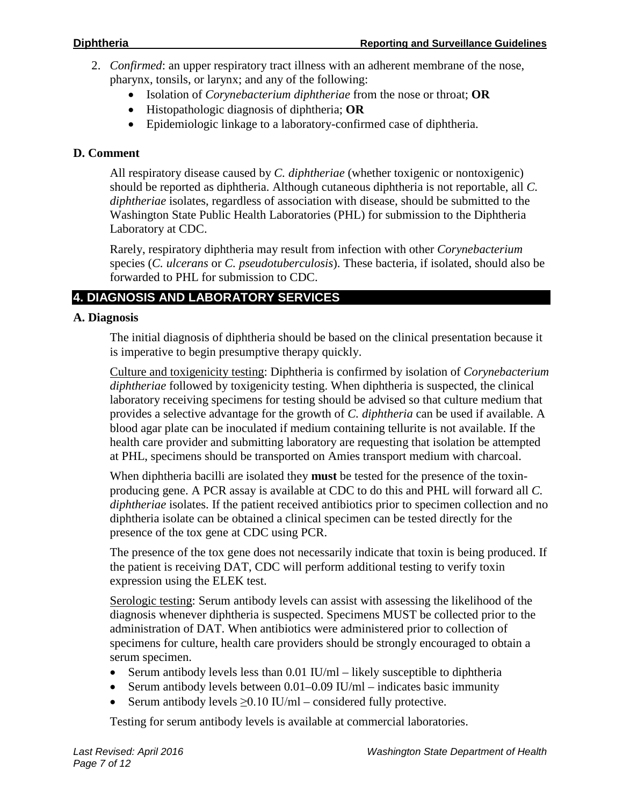- 2. *Confirmed*: an upper respiratory tract illness with an adherent membrane of the nose, pharynx, tonsils, or larynx; and any of the following:
	- Isolation of *Corynebacterium diphtheriae* from the nose or throat; **OR**
	- Histopathologic diagnosis of diphtheria; **OR**
	- Epidemiologic linkage to a laboratory-confirmed case of diphtheria.

#### **D. Comment**

All respiratory disease caused by *C. diphtheriae* (whether toxigenic or nontoxigenic) should be reported as diphtheria. Although cutaneous diphtheria is not reportable, all *C. diphtheriae* isolates, regardless of association with disease, should be submitted to the Washington State Public Health Laboratories (PHL) for submission to the Diphtheria Laboratory at CDC.

Rarely, respiratory diphtheria may result from infection with other *Corynebacterium* species (*C. ulcerans* or *C. pseudotuberculosis*). These bacteria, if isolated, should also be forwarded to PHL for submission to CDC.

# **4. DIAGNOSIS AND LABORATORY SERVICES**

#### **A. Diagnosis**

The initial diagnosis of diphtheria should be based on the clinical presentation because it is imperative to begin presumptive therapy quickly.

Culture and toxigenicity testing: Diphtheria is confirmed by isolation of *Corynebacterium diphtheriae* followed by toxigenicity testing. When diphtheria is suspected, the clinical laboratory receiving specimens for testing should be advised so that culture medium that provides a selective advantage for the growth of *C. diphtheria* can be used if available. A blood agar plate can be inoculated if medium containing tellurite is not available. If the health care provider and submitting laboratory are requesting that isolation be attempted at PHL, specimens should be transported on Amies transport medium with charcoal.

When diphtheria bacilli are isolated they **must** be tested for the presence of the toxinproducing gene. A PCR assay is available at CDC to do this and PHL will forward all *C. diphtheriae* isolates. If the patient received antibiotics prior to specimen collection and no diphtheria isolate can be obtained a clinical specimen can be tested directly for the presence of the tox gene at CDC using PCR.

The presence of the tox gene does not necessarily indicate that toxin is being produced. If the patient is receiving DAT, CDC will perform additional testing to verify toxin expression using the ELEK test.

Serologic testing: Serum antibody levels can assist with assessing the likelihood of the diagnosis whenever diphtheria is suspected. Specimens MUST be collected prior to the administration of DAT. When antibiotics were administered prior to collection of specimens for culture, health care providers should be strongly encouraged to obtain a serum specimen.

- Serum antibody levels less than 0.01 IU/ml likely susceptible to diphtheria
- Serum antibody levels between  $0.01-0.09$  IU/ml indicates basic immunity
- Serum antibody levels  $\geq 0.10$  IU/ml considered fully protective.

Testing for serum antibody levels is available at commercial laboratories.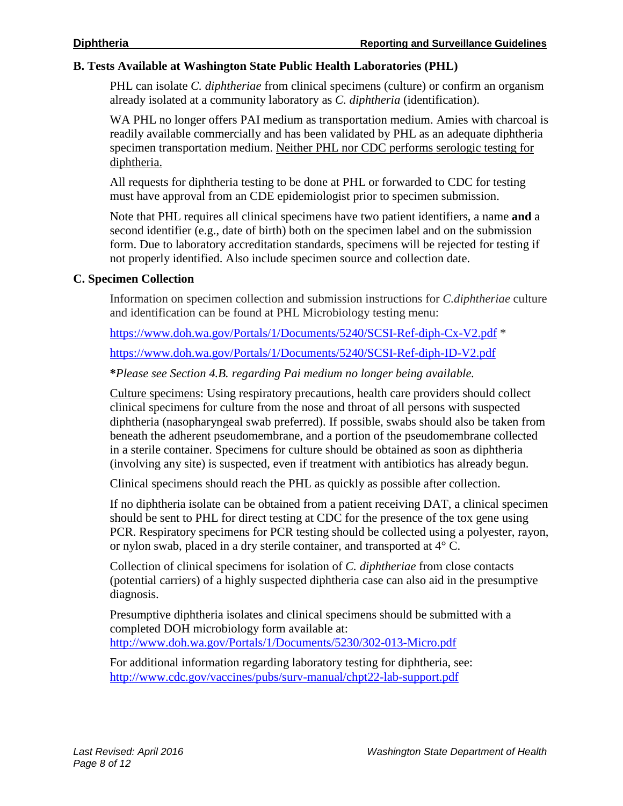#### **B. Tests Available at Washington State Public Health Laboratories (PHL)**

PHL can isolate *C. diphtheriae* from clinical specimens (culture) or confirm an organism already isolated at a community laboratory as *C. diphtheria* (identification).

WA PHL no longer offers PAI medium as transportation medium. Amies with charcoal is readily available commercially and has been validated by PHL as an adequate diphtheria specimen transportation medium. Neither PHL nor CDC performs serologic testing for diphtheria.

All requests for diphtheria testing to be done at PHL or forwarded to CDC for testing must have approval from an CDE epidemiologist prior to specimen submission.

Note that PHL requires all clinical specimens have two patient identifiers, a name **and** a second identifier (e.g., date of birth) both on the specimen label and on the submission form. Due to laboratory accreditation standards, specimens will be rejected for testing if not properly identified. Also include specimen source and collection date.

#### **C. Specimen Collection**

Information on specimen collection and submission instructions for *C.diphtheriae* culture and identification can be found at PHL Microbiology testing menu:

<https://www.doh.wa.gov/Portals/1/Documents/5240/SCSI-Ref-diph-Cx-V2.pdf> \*

<https://www.doh.wa.gov/Portals/1/Documents/5240/SCSI-Ref-diph-ID-V2.pdf>

**\****Please see Section 4.B. regarding Pai medium no longer being available.*

Culture specimens: Using respiratory precautions, health care providers should collect clinical specimens for culture from the nose and throat of all persons with suspected diphtheria (nasopharyngeal swab preferred). If possible, swabs should also be taken from beneath the adherent pseudomembrane, and a portion of the pseudomembrane collected in a sterile container. Specimens for culture should be obtained as soon as diphtheria (involving any site) is suspected, even if treatment with antibiotics has already begun.

Clinical specimens should reach the PHL as quickly as possible after collection.

If no diphtheria isolate can be obtained from a patient receiving DAT, a clinical specimen should be sent to PHL for direct testing at CDC for the presence of the tox gene using PCR. Respiratory specimens for PCR testing should be collected using a polyester, rayon, or nylon swab, placed in a dry sterile container, and transported at 4° C.

Collection of clinical specimens for isolation of *C. diphtheriae* from close contacts (potential carriers) of a highly suspected diphtheria case can also aid in the presumptive diagnosis.

Presumptive diphtheria isolates and clinical specimens should be submitted with a completed DOH microbiology form available at: <http://www.doh.wa.gov/Portals/1/Documents/5230/302-013-Micro.pdf>

For additional information regarding laboratory testing for diphtheria, see: <http://www.cdc.gov/vaccines/pubs/surv-manual/chpt22-lab-support.pdf>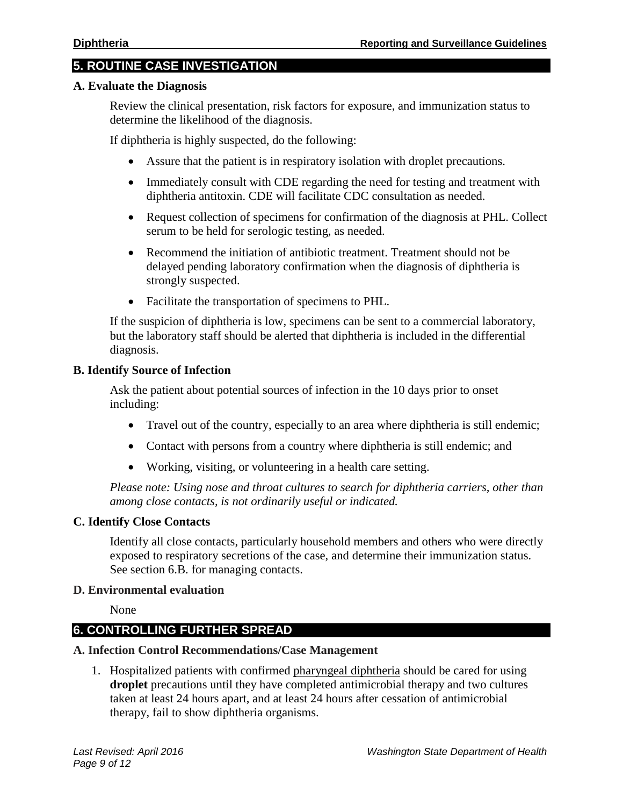#### **5. ROUTINE CASE INVESTIGATION**

#### **A. Evaluate the Diagnosis**

Review the clinical presentation, risk factors for exposure, and immunization status to determine the likelihood of the diagnosis.

If diphtheria is highly suspected, do the following:

- Assure that the patient is in respiratory isolation with droplet precautions.
- Immediately consult with CDE regarding the need for testing and treatment with diphtheria antitoxin. CDE will facilitate CDC consultation as needed.
- Request collection of specimens for confirmation of the diagnosis at PHL. Collect serum to be held for serologic testing, as needed.
- Recommend the initiation of antibiotic treatment. Treatment should not be delayed pending laboratory confirmation when the diagnosis of diphtheria is strongly suspected.
- Facilitate the transportation of specimens to PHL.

If the suspicion of diphtheria is low, specimens can be sent to a commercial laboratory, but the laboratory staff should be alerted that diphtheria is included in the differential diagnosis.

#### **B. Identify Source of Infection**

Ask the patient about potential sources of infection in the 10 days prior to onset including:

- Travel out of the country, especially to an area where diphtheria is still endemic;
- Contact with persons from a country where diphtheria is still endemic; and
- Working, visiting, or volunteering in a health care setting.

*Please note: Using nose and throat cultures to search for diphtheria carriers, other than among close contacts, is not ordinarily useful or indicated.*

#### **C. Identify Close Contacts**

Identify all close contacts, particularly household members and others who were directly exposed to respiratory secretions of the case, and determine their immunization status. See section 6.B. for managing contacts.

#### **D. Environmental evaluation**

None

#### **6. CONTROLLING FURTHER SPREAD**

#### **A. Infection Control Recommendations/Case Management**

1. Hospitalized patients with confirmed pharyngeal diphtheria should be cared for using **droplet** precautions until they have completed antimicrobial therapy and two cultures taken at least 24 hours apart, and at least 24 hours after cessation of antimicrobial therapy, fail to show diphtheria organisms.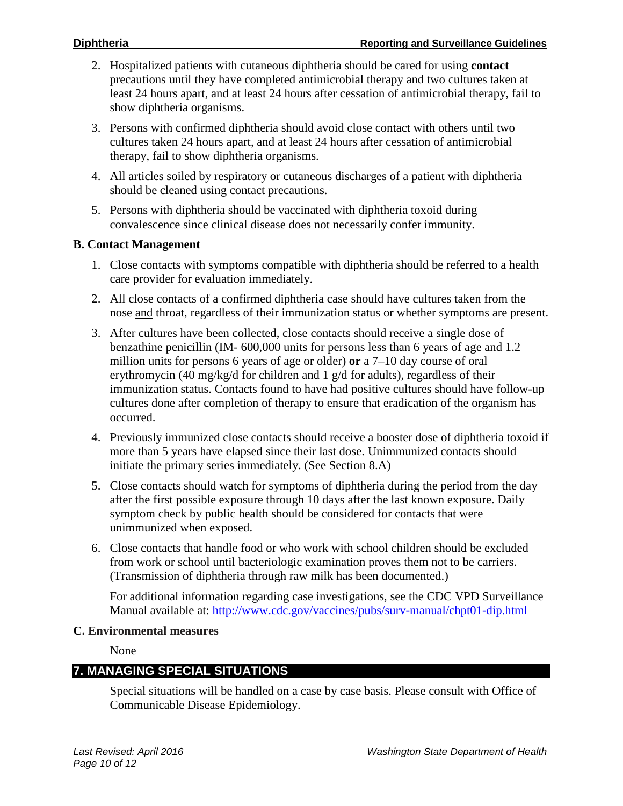- 2. Hospitalized patients with cutaneous diphtheria should be cared for using **contact** precautions until they have completed antimicrobial therapy and two cultures taken at least 24 hours apart, and at least 24 hours after cessation of antimicrobial therapy, fail to show diphtheria organisms.
- 3. Persons with confirmed diphtheria should avoid close contact with others until two cultures taken 24 hours apart, and at least 24 hours after cessation of antimicrobial therapy, fail to show diphtheria organisms.
- 4. All articles soiled by respiratory or cutaneous discharges of a patient with diphtheria should be cleaned using contact precautions.
- 5. Persons with diphtheria should be vaccinated with diphtheria toxoid during convalescence since clinical disease does not necessarily confer immunity.

#### **B. Contact Management**

- 1. Close contacts with symptoms compatible with diphtheria should be referred to a health care provider for evaluation immediately.
- 2. All close contacts of a confirmed diphtheria case should have cultures taken from the nose and throat, regardless of their immunization status or whether symptoms are present.
- 3. After cultures have been collected, close contacts should receive a single dose of benzathine penicillin (IM- 600,000 units for persons less than 6 years of age and 1.2 million units for persons 6 years of age or older) **or** a 7–10 day course of oral erythromycin (40 mg/kg/d for children and 1 g/d for adults), regardless of their immunization status. Contacts found to have had positive cultures should have follow-up cultures done after completion of therapy to ensure that eradication of the organism has occurred.
- 4. Previously immunized close contacts should receive a booster dose of diphtheria toxoid if more than 5 years have elapsed since their last dose. Unimmunized contacts should initiate the primary series immediately. (See Section 8.A)
- 5. Close contacts should watch for symptoms of diphtheria during the period from the day after the first possible exposure through 10 days after the last known exposure. Daily symptom check by public health should be considered for contacts that were unimmunized when exposed.
- 6. Close contacts that handle food or who work with school children should be excluded from work or school until bacteriologic examination proves them not to be carriers. (Transmission of diphtheria through raw milk has been documented.)

For additional information regarding case investigations, see the CDC VPD Surveillance Manual available at:<http://www.cdc.gov/vaccines/pubs/surv-manual/chpt01-dip.html>

#### **C. Environmental measures**

None

### **7. MANAGING SPECIAL SITUATIONS**

Special situations will be handled on a case by case basis. Please consult with Office of Communicable Disease Epidemiology.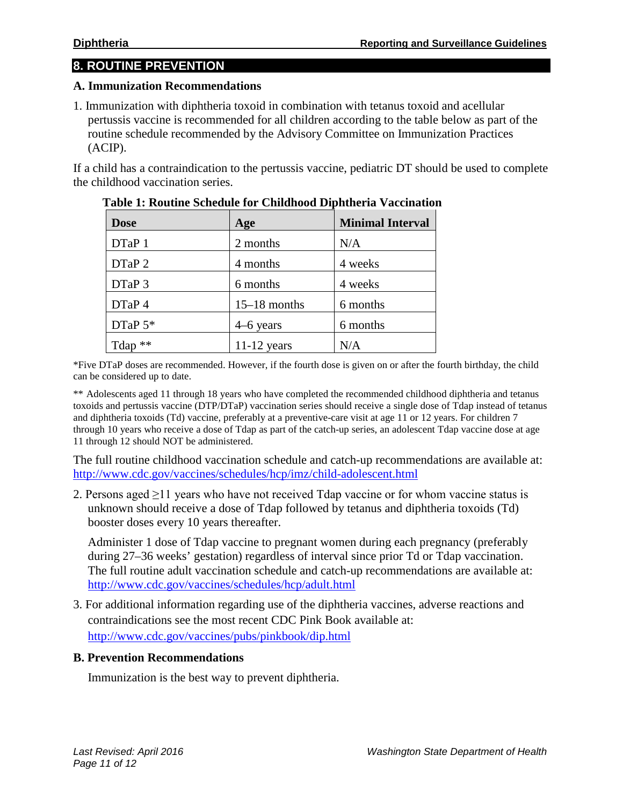## **8. ROUTINE PREVENTION**

#### **A. Immunization Recommendations**

1. Immunization with diphtheria toxoid in combination with tetanus toxoid and acellular pertussis vaccine is recommended for all children according to the table below as part of the routine schedule recommended by the Advisory Committee on Immunization Practices (ACIP).

If a child has a contraindication to the pertussis vaccine, pediatric DT should be used to complete the childhood vaccination series.

| <b>Dose</b> | Age            | <b>Minimal Interval</b> |
|-------------|----------------|-------------------------|
| DTaP 1      | 2 months       | N/A                     |
| DTaP 2      | 4 months       | 4 weeks                 |
| DTaP 3      | 6 months       | 4 weeks                 |
| DTaP 4      | $15-18$ months | 6 months                |
| DTaP $5*$   | $4-6$ years    | 6 months                |
| Tdap $**$   | $11-12$ years  | N/A                     |

| Table 1: Routine Schedule for Childhood Diphtheria Vaccination |  |  |
|----------------------------------------------------------------|--|--|
|                                                                |  |  |

\*Five DTaP doses are recommended. However, if the fourth dose is given on or after the fourth birthday, the child can be considered up to date.

\*\* Adolescents aged 11 through 18 years who have completed the recommended childhood diphtheria and tetanus toxoids and pertussis vaccine (DTP/DTaP) vaccination series should receive a single dose of Tdap instead of tetanus and diphtheria toxoids (Td) vaccine, preferably at a preventive-care visit at age 11 or 12 years. For children 7 through 10 years who receive a dose of Tdap as part of the catch-up series, an adolescent Tdap vaccine dose at age 11 through 12 should NOT be administered.

The full routine childhood vaccination schedule and catch-up recommendations are available at: <http://www.cdc.gov/vaccines/schedules/hcp/imz/child-adolescent.html>

2. Persons aged ≥11 years who have not received Tdap vaccine or for whom vaccine status is unknown should receive a dose of Tdap followed by tetanus and diphtheria toxoids (Td) booster doses every 10 years thereafter.

Administer 1 dose of Tdap vaccine to pregnant women during each pregnancy (preferably during 27–36 weeks' gestation) regardless of interval since prior Td or Tdap vaccination. The full routine adult vaccination schedule and catch-up recommendations are available at: <http://www.cdc.gov/vaccines/schedules/hcp/adult.html>

3. For additional information regarding use of the diphtheria vaccines, adverse reactions and contraindications see the most recent CDC Pink Book available at: <http://www.cdc.gov/vaccines/pubs/pinkbook/dip.html>

#### **B. Prevention Recommendations**

Immunization is the best way to prevent diphtheria.